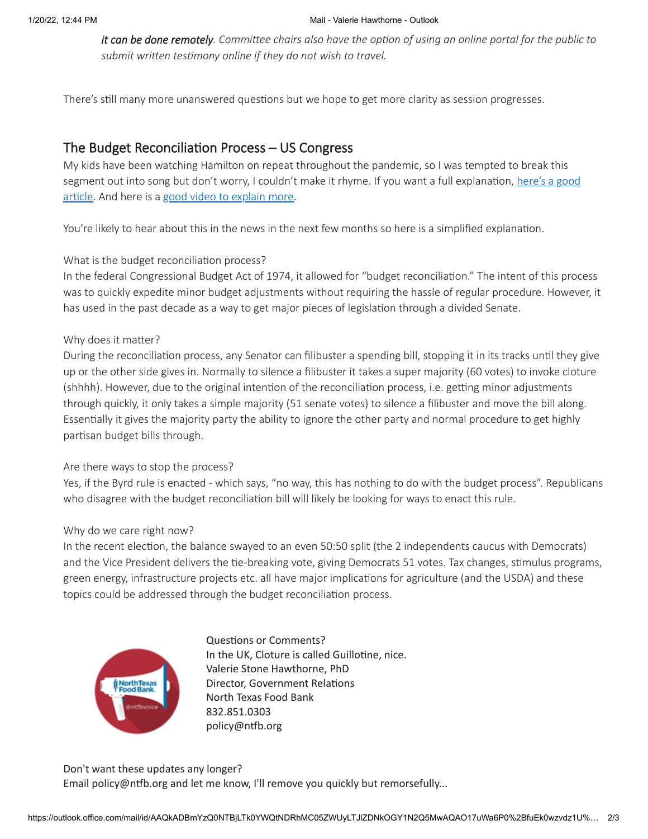*it can be done remotely. Committee chairs also have the option of using an online portal for the public to submit written testimony online if they do not wish to travel.*

There's still many more unanswered questions but we hope to get more clarity as session progresses.

# The Budget Reconciliation Process – US Congress

My kids have been watching Hamilton on repeat throughout the pandemic, so I was tempted to break this [segment out into song but don't worry, I couldn't make it rhyme. If you want a full explanation, here's a good](https://www.politico.com/news/2021/01/08/georgia-senate-democrats-powerful-weapon-budget-456116) article. And here is a [good video to explain more](https://www.youtube.com/watch?v=9KgPBqmY46k).

You're likely to hear about this in the news in the next few months so here is a simplified explanation.

## What is the budget reconciliation process?

In the federal Congressional Budget Act of 1974, it allowed for "budget reconciliation." The intent of this process was to quickly expedite minor budget adjustments without requiring the hassle of regular procedure. However, it has used in the past decade as a way to get major pieces of legislation through a divided Senate.

## Why does it matter?

During the reconciliation process, any Senator can filibuster a spending bill, stopping it in its tracks until they give up or the other side gives in. Normally to silence a filibuster it takes a super majority (60 votes) to invoke cloture (shhhh). However, due to the original intention of the reconciliation process, i.e. getting minor adjustments through quickly, it only takes a simple majority (51 senate votes) to silence a filibuster and move the bill along. Essentially it gives the majority party the ability to ignore the other party and normal procedure to get highly partisan budget bills through.

#### Are there ways to stop the process?

Yes, if the Byrd rule is enacted - which says, "no way, this has nothing to do with the budget process". Republicans who disagree with the budget reconciliation bill will likely be looking for ways to enact this rule.

#### Why do we care right now?

In the recent election, the balance swayed to an even 50:50 split (the 2 independents caucus with Democrats) and the Vice President delivers the tie-breaking vote, giving Democrats 51 votes. Tax changes, stimulus programs, green energy, infrastructure projects etc. all have major implications for agriculture (and the USDA) and these topics could be addressed through the budget reconciliation process.



Questions or Comments? In the UK, Cloture is called Guillotine, nice. Valerie Stone Hawthorne, PhD Director, Government Relations North Texas Food Bank 832.851.0303 policy@ntfb.org

Don't want these updates any longer? Email policy@ntfb.org and let me know, I'll remove you quickly but remorsefully...